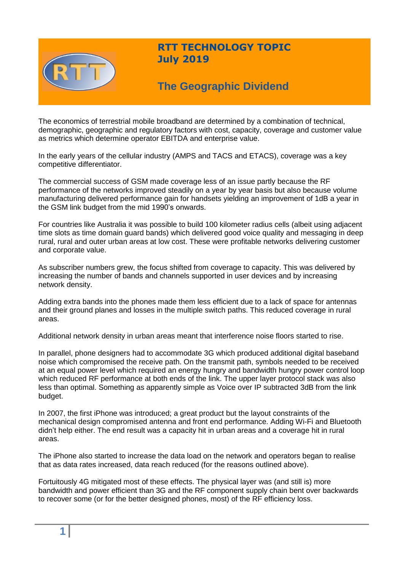

# **RTT TECHNOLOGY TOPIC July 2019**

# **The Geographic Dividend**

The economics of terrestrial mobile broadband are determined by a combination of technical, demographic, geographic and regulatory factors with cost, capacity, coverage and customer value as metrics which determine operator EBITDA and enterprise value.

In the early years of the cellular industry (AMPS and TACS and ETACS), coverage was a key competitive differentiator.

The commercial success of GSM made coverage less of an issue partly because the RF performance of the networks improved steadily on a year by year basis but also because volume manufacturing delivered performance gain for handsets yielding an improvement of 1dB a year in the GSM link budget from the mid 1990's onwards.

For countries like Australia it was possible to build 100 kilometer radius cells (albeit using adjacent time slots as time domain guard bands) which delivered good voice quality and messaging in deep rural, rural and outer urban areas at low cost. These were profitable networks delivering customer and corporate value.

As subscriber numbers grew, the focus shifted from coverage to capacity. This was delivered by increasing the number of bands and channels supported in user devices and by increasing network density.

Adding extra bands into the phones made them less efficient due to a lack of space for antennas and their ground planes and losses in the multiple switch paths. This reduced coverage in rural areas.

Additional network density in urban areas meant that interference noise floors started to rise.

In parallel, phone designers had to accommodate 3G which produced additional digital baseband noise which compromised the receive path. On the transmit path, symbols needed to be received at an equal power level which required an energy hungry and bandwidth hungry power control loop which reduced RF performance at both ends of the link. The upper layer protocol stack was also less than optimal. Something as apparently simple as Voice over IP subtracted 3dB from the link budget.

In 2007, the first iPhone was introduced; a great product but the layout constraints of the mechanical design compromised antenna and front end performance. Adding Wi-Fi and Bluetooth didn't help either. The end result was a capacity hit in urban areas and a coverage hit in rural areas.

The iPhone also started to increase the data load on the network and operators began to realise that as data rates increased, data reach reduced (for the reasons outlined above).

Fortuitously 4G mitigated most of these effects. The physical layer was (and still is) more bandwidth and power efficient than 3G and the RF component supply chain bent over backwards to recover some (or for the better designed phones, most) of the RF efficiency loss.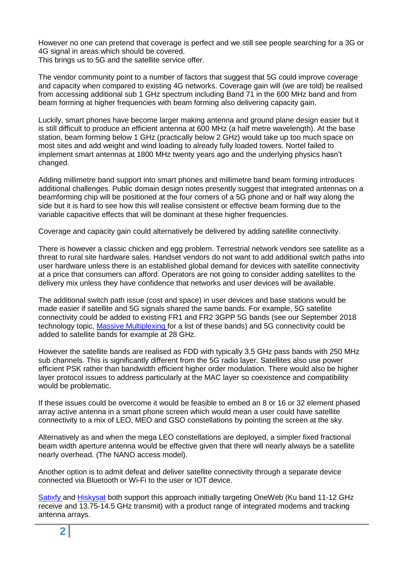However no one can pretend that coverage is perfect and we still see people searching for a 3G or 4G signal in areas which should be covered.

This brings us to 5G and the satellite service offer.

The vendor community point to a number of factors that suggest that 5G could improve coverage and capacity when compared to existing 4G networks. Coverage gain will (we are told) be realised from accessing additional sub 1 GHz spectrum including Band 71 in the 600 MHz band and from beam forming at higher frequencies with beam forming also delivering capacity gain.

Luckily, smart phones have become larger making antenna and ground plane design easier but it is still difficult to produce an efficient antenna at 600 MHz (a half metre wavelength). At the base station, beam forming below 1 GHz (practically below 2 GHz) would take up too much space on most sites and add weight and wind loading to already fully loaded towers. Nortel failed to implement smart antennas at 1800 MHz twenty years ago and the underlying physics hasn't changed.

Adding millimetre band support into smart phones and millimetre band beam forming introduces additional challenges. Public domain design notes presently suggest that integrated antennas on a beamforming chip will be positioned at the four corners of a 5G phone and or half way along the side but it is hard to see how this will realise consistent or effective beam forming due to the variable capacitive effects that will be dominant at these higher frequencies.

Coverage and capacity gain could alternatively be delivered by adding satellite connectivity.

There is however a classic chicken and egg problem. Terrestrial network vendors see satellite as a threat to rural site hardware sales. Handset vendors do not want to add additional switch paths into user hardware unless there is an established global demand for devices with satellite connectivity at a price that consumers can afford. Operators are not going to consider adding satellites to the delivery mix unless they have confidence that networks and user devices will be available.

The additional switch path issue (cost and space) in user devices and base stations would be made easier if satellite and 5G signals shared the same bands. For example, 5G satellite connectivity could be added to existing FR1 and FR2 3GPP 5G bands (see our September 2018 technology topic, Massive [Multiplexing](https://www.rttonline.com/sitemap.html) for a list of these bands) and 5G connectivity could be added to satellite bands for example at 28 GHz.

However the satellite bands are realised as FDD with typically 3.5 GHz pass bands with 250 MHz sub channels. This is significantly different from the 5G radio layer. Satellites also use power efficient PSK rather than bandwidth efficient higher order modulation. There would also be higher layer protocol issues to address particularly at the MAC layer so coexistence and compatibility would be problematic.

If these issues could be overcome it would be feasible to embed an 8 or 16 or 32 element phased array active antenna in a smart phone screen which would mean a user could have satellite connectivity to a mix of LEO, MEO and GSO constellations by pointing the screen at the sky.

Alternatively as and when the mega LEO constellations are deployed, a simpler fixed fractional beam width aperture antenna would be effective given that there will nearly always be a satellite nearly overhead. (The NANO access model).

Another option is to admit defeat and deliver satellite connectivity through a separate device connected via Bluetooth or Wi-Fi to the user or IOT device.

[Satixfy](http://www.satixfy.com/) and [Hiskysat](http://www.hiskysat.com/#home) both support this approach initially targeting OneWeb (Ku band 11-12 GHz receive and 13.75-14.5 GHz transmit) with a product range of integrated modems and tracking antenna arrays.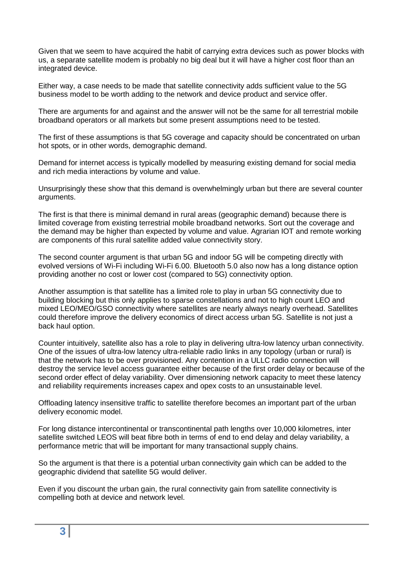Given that we seem to have acquired the habit of carrying extra devices such as power blocks with us, a separate satellite modem is probably no big deal but it will have a higher cost floor than an integrated device.

Either way, a case needs to be made that satellite connectivity adds sufficient value to the 5G business model to be worth adding to the network and device product and service offer.

There are arguments for and against and the answer will not be the same for all terrestrial mobile broadband operators or all markets but some present assumptions need to be tested.

The first of these assumptions is that 5G coverage and capacity should be concentrated on urban hot spots, or in other words, demographic demand.

Demand for internet access is typically modelled by measuring existing demand for social media and rich media interactions by volume and value.

Unsurprisingly these show that this demand is overwhelmingly urban but there are several counter arguments.

The first is that there is minimal demand in rural areas (geographic demand) because there is limited coverage from existing terrestrial mobile broadband networks. Sort out the coverage and the demand may be higher than expected by volume and value. Agrarian IOT and remote working are components of this rural satellite added value connectivity story.

The second counter argument is that urban 5G and indoor 5G will be competing directly with evolved versions of Wi-Fi including Wi-Fi 6.00. Bluetooth 5.0 also now has a long distance option providing another no cost or lower cost (compared to 5G) connectivity option.

Another assumption is that satellite has a limited role to play in urban 5G connectivity due to building blocking but this only applies to sparse constellations and not to high count LEO and mixed LEO/MEO/GSO connectivity where satellites are nearly always nearly overhead. Satellites could therefore improve the delivery economics of direct access urban 5G. Satellite is not just a back haul option.

Counter intuitively, satellite also has a role to play in delivering ultra-low latency urban connectivity. One of the issues of ultra-low latency ultra-reliable radio links in any topology (urban or rural) is that the network has to be over provisioned. Any contention in a ULLC radio connection will destroy the service level access guarantee either because of the first order delay or because of the second order effect of delay variability. Over dimensioning network capacity to meet these latency and reliability requirements increases capex and opex costs to an unsustainable level.

Offloading latency insensitive traffic to satellite therefore becomes an important part of the urban delivery economic model.

For long distance intercontinental or transcontinental path lengths over 10,000 kilometres, inter satellite switched LEOS will beat fibre both in terms of end to end delay and delay variability, a performance metric that will be important for many transactional supply chains.

So the argument is that there is a potential urban connectivity gain which can be added to the geographic dividend that satellite 5G would deliver.

Even if you discount the urban gain, the rural connectivity gain from satellite connectivity is compelling both at device and network level.